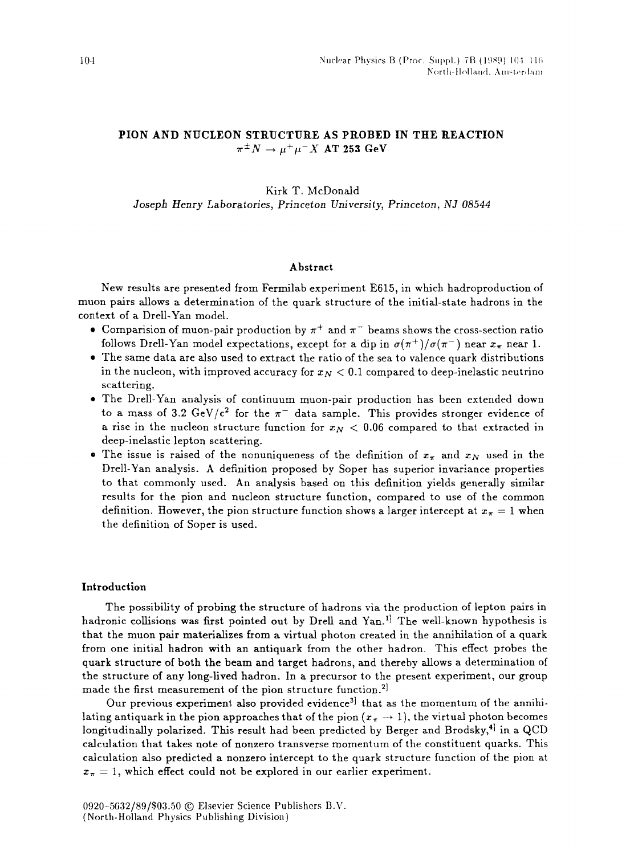# **PION AND NUCLEON STRUCTURE AS PROBED IN THE REACTION**   $\pi^{\pm}N \rightarrow \mu^{\pm}\mu^-X$  **AT 253 GeV**

# Kirk T. McDonald *Joseph Henry Laboratories, Princeton University, Princeton, NJ 08544*

## **Abstract**

New results are presented from Fermilab experiment E615, in which hadroproduction of muon pairs allows a determination of the quark structure of the initial-state hadrons in the context of a Drell-Yan model.

- Comparision of muon-pair production by  $\pi^+$  and  $\pi^-$  beams shows the cross-section ratio follows Drell-Yan model expectations, except for a dip in  $\sigma(\pi^+)/\sigma(\pi^-)$  near  $x_{\pi}$  near 1.
- The same data are also used to extract the ratio of the sea to valence quark distributions in the nucleon, with improved accuracy for  $x_N < 0.1$  compared to deep-inelastic neutrino scattering.
- The Drell-Yan analysis of continuum muon-pair production has been extended down to a mass of 3.2 GeV/ $c^2$  for the  $\pi^-$  data sample. This provides stronger evidence of a rise in the nucleon structure function for  $x_N < 0.06$  compared to that extracted in deep-inelastic lepton scattering.
- The issue is raised of the nonuniqueness of the definition of  $x_{\pi}$  and  $x_{N}$  used in the Drell-Yan analysis. A definition proposed by Soper has superior invariance properties to that commonly used. An analysis based on this definition yields generally similar results for the pion and nucleon structure function, compared to use of the common definition. However, the pion structure function shows a larger intercept at  $x_{\pi} = 1$  when the definition of Soper is used.

## **Introduction**

The possibility of probing the structure of hadrons via the production of lepton pairs in hadronic collisions was first pointed out by Drell and  $\text{Yan}$ ,<sup>1</sup> The well-known hypothesis is that the muon pair materializes from a virtual photon created in the annihilation of a quark from one initial hadron with an antiquark from the other hadron. This effect probes the quark structure of both the beam and target hadrons, and thereby allows a determination of the structure of any long-lived hadron. In a precursor to the present experiment, our group made the first measurement of the pion structure function.<sup>2]</sup>

Our previous experiment also provided evidence<sup>3</sup> that as the momentum of the annihilating antiquark in the pion approaches that of the pion  $(x_n \rightarrow 1)$ , the virtual photon becomes longitudinally polarized. This result had been predicted by Berger and Brodsky,<sup>4</sup> in a QCD calculation that takes note of nonzero transverse momentum of the constituent quarks. This calculation also predicted a nonzero intercept to the quark structure function of the pion at  $x_{\pi} = 1$ , which effect could not be explored in our earlier experiment.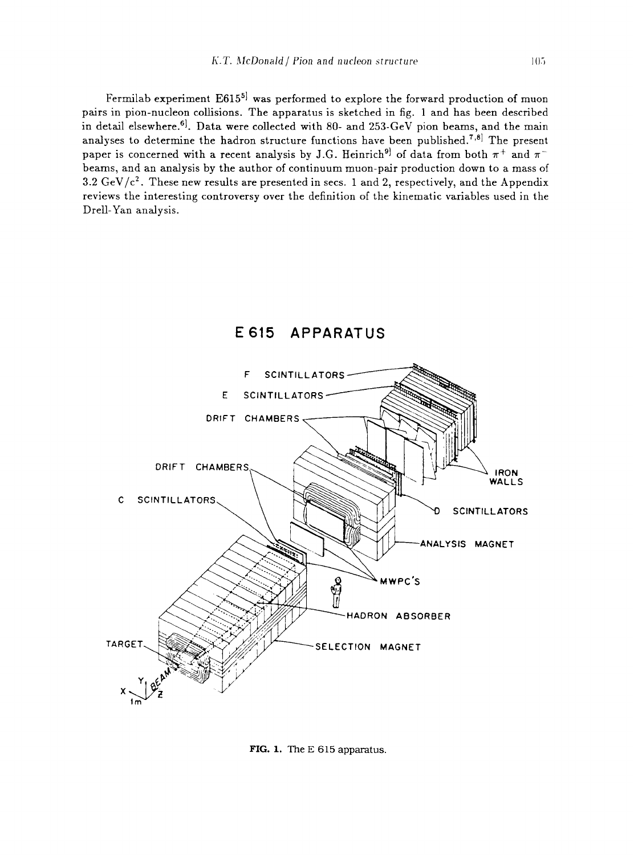Fermilab experiment  $E615^{5}$  was performed to explore the forward production of muon pairs in pion-nucleon collisions. The apparatus is sketched in fig. 1 and has been described in detail elsewhere.<sup>6]</sup>. Data were collected with 80- and 253-GeV pion beams, and the main analyses to determine the hadron structure functions have been published.<sup>7,8]</sup> The present paper is concerned with a recent analysis by J.G. Heinrich<sup>9</sup> of data from both  $\pi^+$  and  $\pi^$ beams, and an analysis by the author of continuum muon-pair production down to a mass of 3.2 GeV/ $c^2$ . These new results are presented in secs. 1 and 2, respectively, and the Appendix reviews the interesting controversy over the definition of the kinematic variables used in the Drell-Yan analysis.



# **E615 APPARATUS**

FIG. 1. The E 615 apparatus.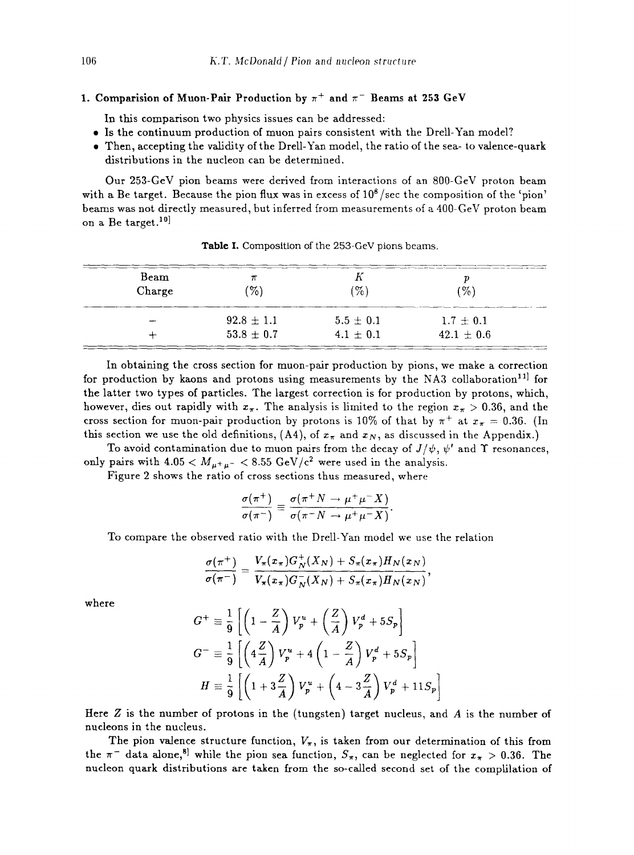# 1. Comparision of Muon-Pair Production by  $\pi^+$  and  $\pi^-$  Beams at 253 GeV

In this comparison two physics issues can be addressed:

- Is the continuum production of muon pairs consistent with the Drell-Yan model?
- Then, accepting the validity of the Drell-Yan model, the ratio of the sea- to valence-quark distributions in the nucleon can be determined.

Our 253-GeV pion beams were derived from interactions of an 800-GeV proton beam with a Be target. Because the pion flux was in excess of  $10^8$ /sec the composition of the 'pion' beams was not directly measured, but inferred from measurements of a 400-GeV proton beam on a Be target.<sup>10]</sup>

| Beam<br>Charge | $\mathcal{C}_0$ | $\mathcal{C}_0$ | $\%$           |
|----------------|-----------------|-----------------|----------------|
|                | $92.8 \pm 1.1$  | $5.5 \pm 0.1$   | $1.7 + 0.1$    |
|                | $53.8 \pm 0.7$  | $4.1 \pm 0.1$   | $42.1 \pm 0.6$ |

Table I. Composition of the 253-GeV pions beams.

In obtaining the cross section for muon-pair production by pions, we make a correction for production by kaons and protons using measurements by the NA3 collaboration<sup>11</sup> for the latter two types of particles. The largest correction is for production by protons, which, however, dies out rapidly with  $x_{\pi}$ . The analysis is limited to the region  $x_{\pi} > 0.36$ , and the cross section for muon-pair production by protons is 10% of that by  $\pi^+$  at  $x_{\pi} = 0.36$ . (In this section we use the old definitions, (A4), of  $x_{\pi}$  and  $x_N$ , as discussed in the Appendix.)

To avoid contamination due to muon pairs from the decay of  $J/\psi$ ,  $\psi'$  and  $\Upsilon$  resonances, only pairs with  $4.05 < M_{\mu^+\mu^-} < 8.55 \text{ GeV}/c^2$  were used in the analysis.

Figure 2 shows the ratio of cross sections thus measured, where

$$
\frac{\sigma(\pi^+)}{\sigma(\pi^-)} \equiv \frac{\sigma(\pi^+ N \to \mu^+ \mu^- X)}{\sigma(\pi^- N \to \mu^+ \mu^- X)}.
$$

To compare the observed ratio with the Drell-Yan model we use the relation

$$
\frac{\sigma(\pi^+)}{\sigma(\pi^-)} = \frac{V_\pi(x_\pi)G_N^+(X_N) + S_\pi(x_\pi)H_N(x_N)}{V_\pi(x_\pi)G_N^-(X_N) + S_\pi(x_\pi)H_N(x_N)},
$$

where

$$
G^{+} \equiv \frac{1}{9} \left[ \left( 1 - \frac{Z}{A} \right) V_{p}^{u} + \left( \frac{Z}{A} \right) V_{p}^{d} + 5S_{p} \right]
$$
  
\n
$$
G^{-} \equiv \frac{1}{9} \left[ \left( 4 \frac{Z}{A} \right) V_{p}^{u} + 4 \left( 1 - \frac{Z}{A} \right) V_{p}^{d} + 5S_{p} \right]
$$
  
\n
$$
H \equiv \frac{1}{9} \left[ \left( 1 + 3 \frac{Z}{A} \right) V_{p}^{u} + \left( 4 - 3 \frac{Z}{A} \right) V_{p}^{d} + 11S_{p} \right]
$$

Here  $Z$  is the number of protons in the (tungsten) target nucleus, and  $\overline{A}$  is the number of nucleons in the nucleus.

The pion valence structure function,  $V_{\pi}$ , is taken from our determination of this from the  $\pi^-$  data alone,<sup>8]</sup> while the pion sea function,  $S_{\pi}$ , can be neglected for  $x_{\pi} > 0.36$ . The nucleon quark distributions are taken from the so-called second set of the complilation of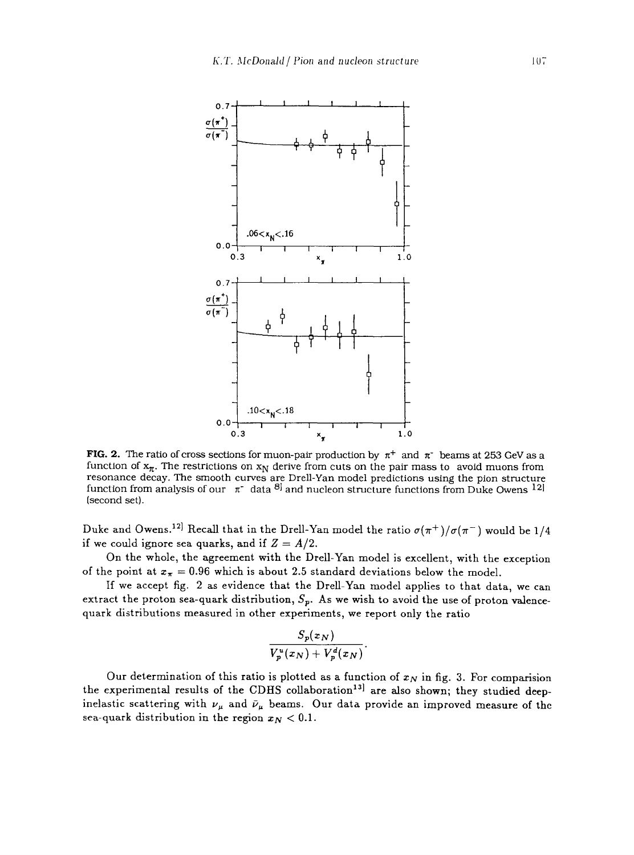

**FIG. 2.** The ratio of cross sections for muon-pair production by  $\pi^+$  and  $\pi^-$  beams at 253 GeV as a function of  $x_{\pi}$ . The restrictions on  $x_N$  derive from cuts on the pair mass to avoid muons from resonance decay. The smooth curves are Drell-Yan model predictions using the pion structure function from analysis of our  $\pi^*$  data  $\delta^j$  and nucleon structure functions from Duke Owens <sup>12</sup> (second set).

Duke and Owens.<sup>12]</sup> Recall that in the Drell-Yan model the ratio  $\sigma(\pi^+) / \sigma(\pi^-)$  would be 1/4 if we could ignore sea quarks, and if  $Z = A/2$ .

On the whole, the agreement with the Drell-Yan model is excellent, with the exception of the point at  $x_{\pi} = 0.96$  which is about 2.5 standard deviations below the model.

If we accept fig. 2 as evidence that the Drell-Yan model applies to that data, we can extract the proton sea-quark distribution,  $S_p$ . As we wish to avoid the use of proton valencequark distributions measured in other experiments, we report only the ratio

$$
\frac{S_p(x_N)}{V_p^u(x_N)+V_p^d(x_N)}.
$$

Our determination of this ratio is plotted as a function of  $x_N$  in fig. 3. For comparision the experimental results of the CDHS collaboration<sup>13]</sup> are also shown; they studied deepinelastic scattering with  $\nu_{\mu}$  and  $\bar{\nu}_{\mu}$  beams. Our data provide an improved measure of the sea-quark distribution in the region  $x_N < 0.1$ .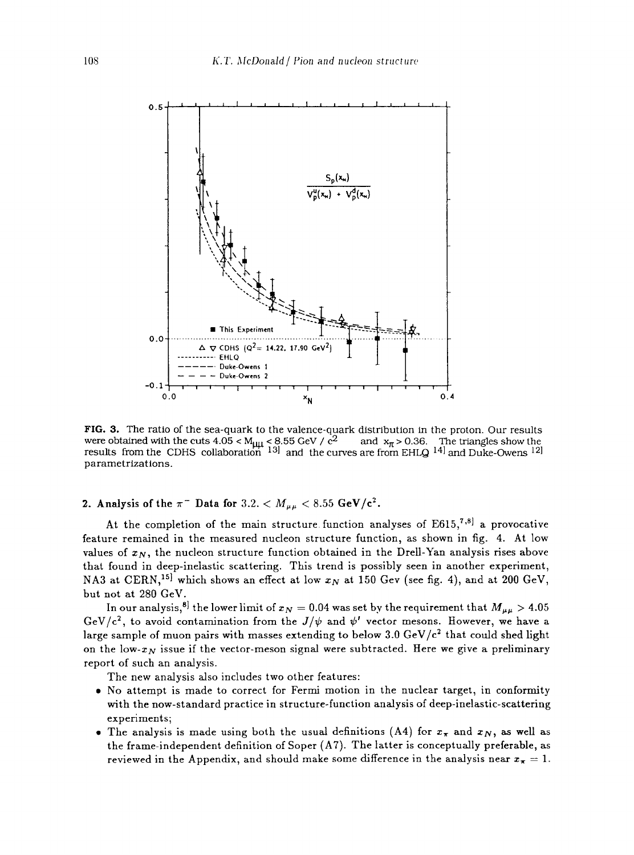

**FIG. 3.** The ratio of the sea-quark to the valence-quark distribution in the proton. Our results were obtained with the cuts 4.05 < M<sub>µµ</sub> < 8.55 GeV /  $c^2$  and  $x_{\pi}$  > 0.36. The triangles show the results from the CDHS collaboration  $^{13}$  and the curves are from EHLQ  $^{14}$  and Duke-Owens  $^{12}$ parametrizations.

**2.** Analysis of the  $\pi^-$  Data for  $3.2. < M_{\mu\mu} < 8.55$  GeV/c<sup>2</sup>.

At the completion of the main structure function analyses of  $E615$ ,<sup>7,8]</sup> a provocative feature remained in the measured nucleon structure function, as shown in fig. 4. At low values of  $x_N$ , the nucleon structure function obtained in the Drell-Yan analysis rises above that found in deep-inelastic scattering. This trend is possibly seen in another experiment, NA3 at CERN,<sup>15]</sup> which shows an effect at low  $x_N$  at 150 Gev (see fig. 4), and at 200 GeV, but not at 280 GeV.

In our analysis,<sup>8]</sup> the lower limit of  $x_N = 0.04$  was set by the requirement that  $M_{\mu\mu} > 4.05$ GeV/c<sup>2</sup>, to avoid contamination from the  $J/\psi$  and  $\psi'$  vector mesons. However, we have a large sample of muon pairs with masses extending to below 3.0 GeV/ $c^2$  that could shed light on the low- $x_N$  issue if the vector-meson signal were subtracted. Here we give a preliminary report of such an analysis.

The new analysis also includes two other features:

- a No attempt is made to correct for Fermi motion in the nuclear target, in conformity with the now-standard practice in structure-function analysis of deep-inelastic-scattering experiments;
- The analysis is made using both the usual definitions (A4) for  $x_{\pi}$  and  $x_N$ , as well as the frame-independent definition of Soper (A7). The latter is conceptually preferable, as reviewed in the Appendix, and should make some difference in the analysis near  $x_{\pi} = 1$ .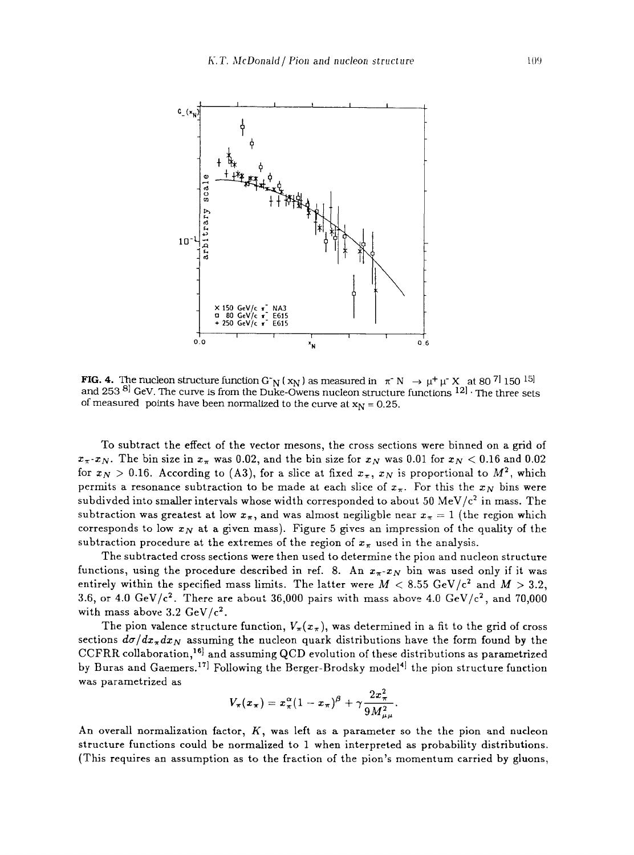

**FIG. 4.** The nucleon structure function G<sup>-</sup>N ( $x_N$ ) as measured in  $\pi$ <sup>-</sup>N  $\rightarrow \mu^+ \mu^- X$  at 80<sup>7</sup> 150<sup>15]</sup> and 253  $8$ ] GeV. The curve is from the Duke-Owens nucleon structure functions  $12$ ]. The three sets of measured points have been normalized to the curve at  $x_N = 0.25$ .

To subtract the effect of the vector mesons, the cross sections were binned on a grid of  $x_{\pi}$ - $x_N$ . The bin size in  $x_{\pi}$  was 0.02, and the bin size for  $x_N$  was 0.01 for  $x_N < 0.16$  and 0.02 for  $x_N > 0.16$ . According to (A3), for a slice at fixed  $x_{\pi}$ ,  $x_N$  is proportional to  $M^2$ , which permits a resonance subtraction to be made at each slice of  $x_{\pi}$ . For this the  $x_N$  bins were subdivded into smaller intervals whose width corresponded to about 50 MeV/ $c<sup>2</sup>$  in mass. The subtraction was greatest at low  $x_{\pi}$ , and was almost negiligble near  $x_{\pi} = 1$  (the region which corresponds to low  $x_N$  at a given mass). Figure 5 gives an impression of the quality of the subtraction procedure at the extremes of the region of  $x_{\pi}$  used in the analysis.

The subtracted cross sections were then used to determine the pion and nucleon structure functions, using the procedure described in ref. 8. An  $x_{\pi}$ - $x_N$  bin was used only if it was entirely within the specified mass limits. The latter were  $M < 8.55 \text{ GeV}/c^2$  and  $M > 3.2$ , 3.6, or 4.0 GeV/ $c^2$ . There are about 36,000 pairs with mass above 4.0 GeV/ $c^2$ , and 70,000 with mass above 3.2  $GeV/c^2$ .

The pion valence structure function,  $V_{\pi}(x_{\pi})$ , was determined in a fit to the grid of cross sections  $d\sigma/dx_{\pi}dx_N$  assuming the nucleon quark distributions have the form found by the CCFRR collaboration,<sup>16]</sup> and assuming QCD evolution of these distributions as parametrized by Buras and Gaemers.<sup>17]</sup> Following the Berger-Brodsky model<sup>4]</sup> the pion structure function was parametrized as

$$
V_{\pi}(x_{\pi})=x_{\pi}^{\alpha}(1-x_{\pi})^{\beta}+\gamma\frac{2x_{\pi}^{2}}{9M_{u\mu}^{2}}.
$$

An overall normalization factor,  $K$ , was left as a parameter so the the pion and nucleon structure functions could be normalized to 1 when interpreted as probability distributions. {This requires an assumption as to the fraction of the pion's momentum carried by gluons,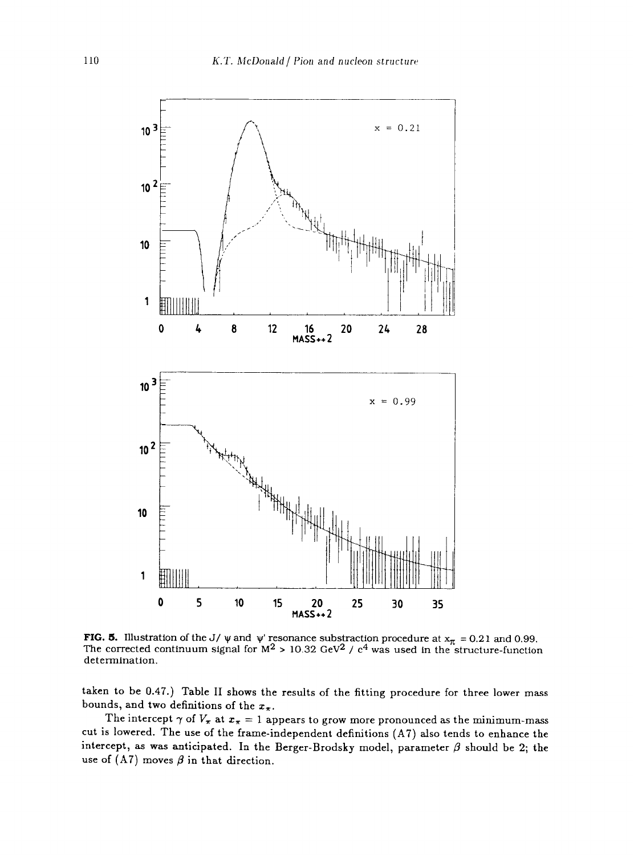

**FIG. 5.** Illustration of the J/  $\psi$  and  $\psi'$  resonance substraction procedure at  $x_{\pi} = 0.21$  and 0.99. The corrected continuum signal for  $M^2 > 10.32$  GeV<sup>2</sup> / c<sup>4</sup> was used in the structure-function determination.

taken to be 0.47.) Table II shows the results of the fitting procedure for three lower mass bounds, and two definitions of the  $x_{\pi}$ .

The intercept  $\gamma$  of  $V_{\pi}$  at  $x_{\pi}=1$  appears to grow more pronounced as the minimum-mass cut is lowered. The use of the frame-independent definitions (A7) also tends to enhance the intercept, as was anticipated. In the Berger-Brodsky model, parameter  $\beta$  should be 2; the use of (A7) moves  $\beta$  in that direction.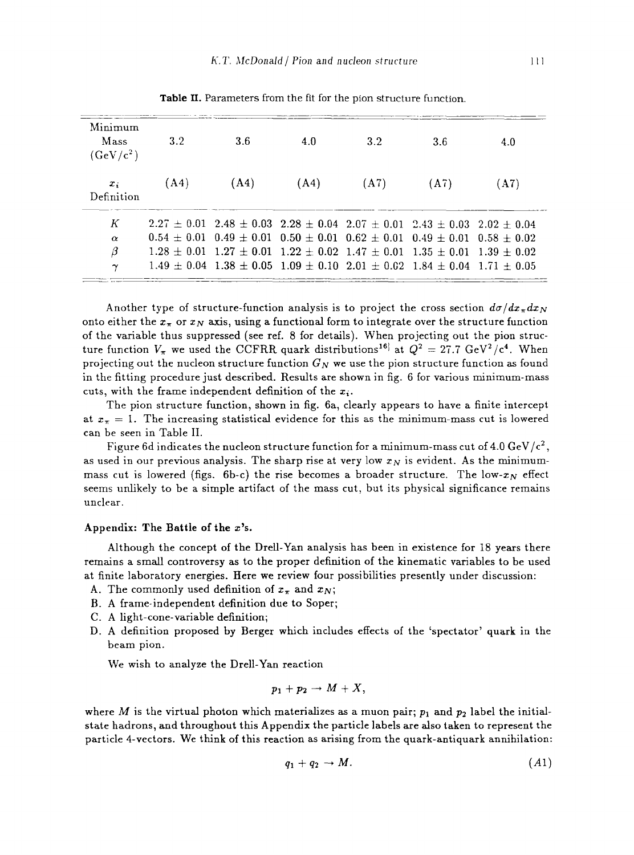| Minimum<br>Mass<br>$(GeV/c^2)$ | 3.2  | 3.6                                                                                             | 4.0  | 3.2  | 3.6  | 4.0  |
|--------------------------------|------|-------------------------------------------------------------------------------------------------|------|------|------|------|
| $x_i$<br>Definition            | (A4) | (A4)                                                                                            | (A4) | (A7) | (A7) | (A7) |
| К                              |      | $2.27 \pm 0.01$ $2.48 \pm 0.03$ $2.28 \pm 0.04$ $2.07 \pm 0.01$ $2.43 \pm 0.03$ $2.02 \pm 0.04$ |      |      |      |      |
| $\alpha$                       |      | $0.54 + 0.01$ $0.49 + 0.01$ $0.50 + 0.01$ $0.62 + 0.01$ $0.49 + 0.01$ $0.58 + 0.02$             |      |      |      |      |
| β                              |      | $1.28 + 0.01$ $1.27 + 0.01$ $1.22 + 0.02$ $1.47 + 0.01$ $1.35 + 0.01$ $1.39 + 0.02$             |      |      |      |      |
| $\boldsymbol{\gamma}$          |      | $1.49 + 0.04$ $1.38 + 0.05$ $1.09 + 0.10$ $2.01 + 0.02$ $1.84 + 0.04$ $1.71 + 0.05$             |      |      |      |      |

Table II. Parameters from the fit for the pion structure function.

Another type of structure-function analysis is to project the cross section  $d\sigma/dx_{\pi}dx_N$ onto either the  $x_{\pi}$  or  $x_N$  axis, using a functional form to integrate over the structure function of the variable thus suppressed (see ref. 8 for details). When projecting out the pion structure function  $V_{\pi}$  we used the CCFRR quark distributions<sup>16</sup> at  $Q^2 = 27.7 \text{ GeV}^2/\text{c}^4$ . When projecting out the nucleon structure function  $G_N$  we use the pion structure function as found in the fitting procedure just described. Results are shown in fig. 6 for various minimum-mass cuts, with the frame independent definition of the  $x_i$ .

The pion structure function, shown in fig. 6a, clearly appears to have a finite intercept at  $x_{\pi} = 1$ . The increasing statistical evidence for this as the minimum-mass cut is lowered can be seen in Table II.

Figure 6d indicates the nucleon structure function for a minimum-mass cut of 4.0 GeV/ $c^2$ , as used in our previous analysis. The sharp rise at very low  $x_N$  is evident. As the minimummass cut is lowered (figs. 6b-c) the rise becomes a broader structure. The low- $x_N$  effect seems unlikely to be a simple artifact of the mass cut, but its physical significance remains unclear.

#### Appendix: The Battle of the  $x$ 's.

Although the concept of the Drell-Yan analysis has been in existence for 18 years there remains a small controversy as to the proper definition of the kinematic variables to be used at finite laboratory energies. Here we review four possibilities presently under discussion:

- A. The commonly used definition of  $x_{\pi}$  and  $x_N$ ;
- B. A frame-independent definition due to Soper;
- C. A light-cone-variable definition;
- D. A definition proposed by Berger which includes effects of the 'spectator' quark in the beam pion.

We wish to analyze the Drell-Yan reaction

$$
p_1+p_2\to M+X,
$$

where M is the virtual photon which materializes as a muon pair;  $p_1$  and  $p_2$  label the initialstate hadrons, and throughout this Appendix the particle labels are also taken to represent the particle 4-vectors. We think of this reaction as arising from the quark-antiquark annihilation:

$$
q_1 + q_2 \to M. \tag{A1}
$$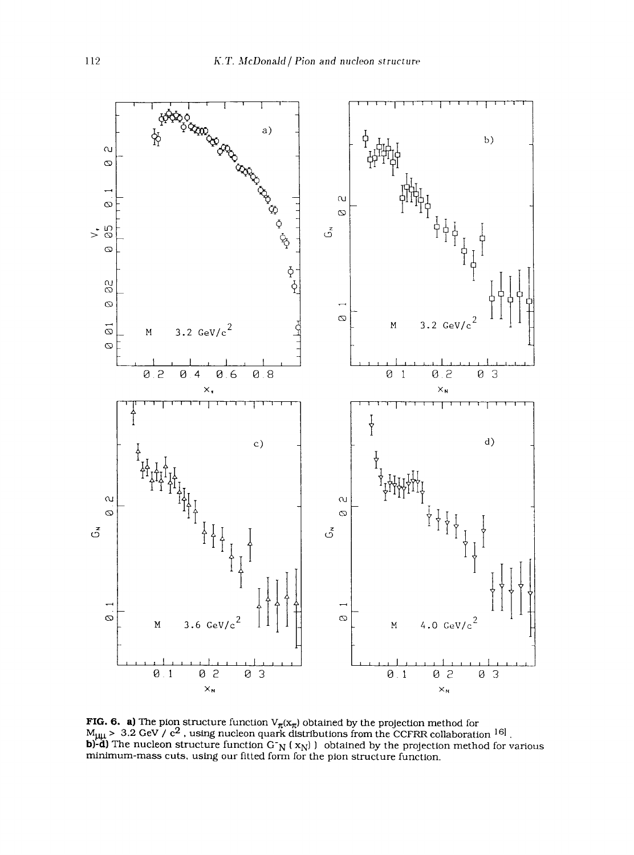

ious<br>1 R collaboratio<br>ection metho<br>:ion. **z o** nctic<br>eon o<br>ctior i structure<br>? , using n<br>structure<br>!s. using o  $\overline{\mathbf{r}}$ **a)** The<br>.2 GeV<br>e nucle **,**  .<br>פו<br>מ **~A~**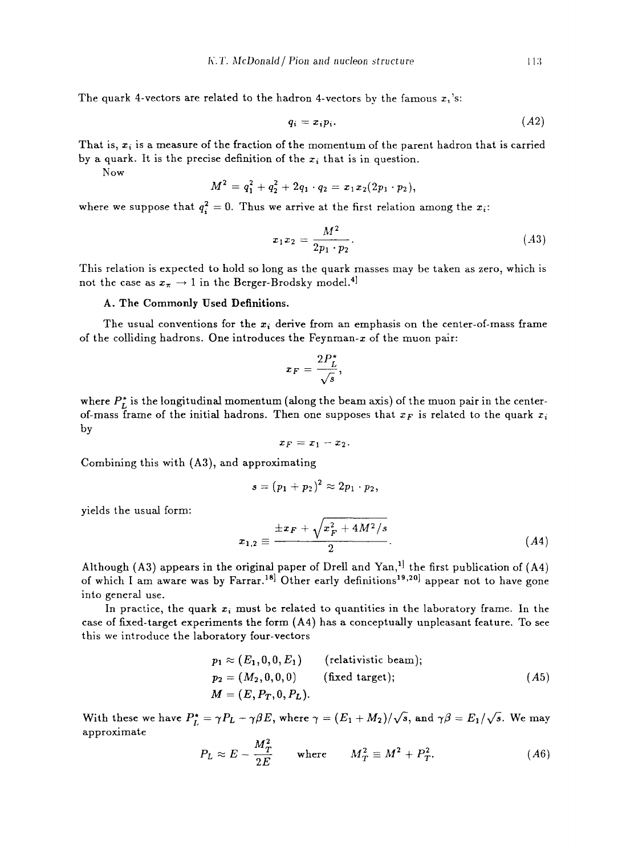The quark 4-vectors are related to the hadron 4-vectors by the famous  $x_i$ 's:

$$
q_i = x_i p_i. \tag{A2}
$$

That is,  $x_i$  is a measure of the fraction of the momentum of the parent hadron that is carried by a quark. It is the precise definition of the  $x_i$  that is in question.

Now

$$
M^2 = q_1^2 + q_2^2 + 2q_1 \cdot q_2 = x_1 x_2 (2p_1 \cdot p_2),
$$

where we suppose that  $q_i^2 = 0$ . Thus we arrive at the first relation among the  $x_i$ :

$$
x_1 x_2 = \frac{M^2}{2p_1 \cdot p_2}.
$$
 (A3)

This relation is expected to hold so long as the quark masses may be taken as zero, which is not the case as  $x_{\pi} \rightarrow 1$  in the Berger-Brodsky model.<sup>4]</sup>

# A. The Commonly Used Definitions.

The usual conventions for the  $x_i$  derive from an emphasis on the center-of-mass frame of the colliding hadrons. One introduces the Feynman- $x$  of the muon pair:

$$
x_F = \frac{2P_L^*}{\sqrt{s}},
$$

where  $P_L^*$  is the longitudinal momentum (along the beam axis) of the muon pair in the centerof-mass frame of the initial hadrons. Then one supposes that  $x_F$  is related to the quark  $x_i$ by

$$
x_F=x_1-x_2.
$$

Combining this with (A3), and approximating

$$
s=(p_1+p_2)^2\approx 2p_1\cdot p_2,
$$

yields the usual form:

$$
x_{1,2} \equiv \frac{\pm x_F + \sqrt{x_F^2 + 4M^2/s}}{2}.
$$
 (A4)

Although (A3) appears in the original paper of Drell and Yan,<sup>1</sup> the first publication of (A4) of which I am aware was by Farrar.<sup>18]</sup> Other early definitions<sup>19,20</sup>] appear not to have gone into general use.

In practice, the quark  $x_i$  must be related to quantities in the laboratory frame. In the case of fixed-target experiments the form  $(A4)$  has a conceptually unpleasant feature. To see this we introduce the laboratory four-vectors

$$
p_1 \approx (E_1, 0, 0, E_1) \qquad \text{(relativistic beam)}; \np_2 = (M_2, 0, 0, 0) \qquad \text{(fixed target)}; \nM = (E, P_T, 0, P_L).
$$
\n(A5)

With these we have  $P_L^* = \gamma P_L - \gamma \beta E$ , where  $\gamma = (E_1 + M_2)/\sqrt{s}$ , and  $\gamma \beta = E_1/\sqrt{s}$ . We may approximate

$$
P_L \approx E - \frac{M_T^2}{2E} \quad \text{where} \quad M_T^2 \equiv M^2 + P_T^2. \tag{A6}
$$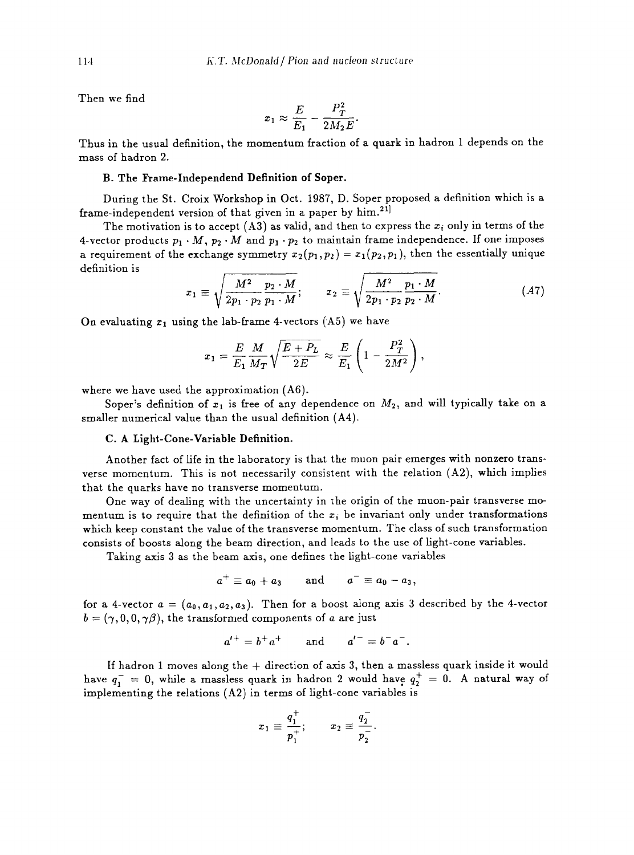Then we find

$$
x_1 \approx \frac{E}{E_1} - \frac{P_T^2}{2M_2E}.
$$

Thus in the usual definition, the momentum fraction of a quark in hadron 1 depends on the mass of hadron 2.

### B. The Frame-Independend Definition of Soper.

During the St. Croix Workshop in Oct. 1987, D. Soper proposed a definition which is a frame-independent version of that given in a paper by  $\lim^{21}$ .

The motivation is to accept (A3) as valid, and then to express the  $x_i$  only in terms of the 4-vector products  $p_1 \cdot M$ ,  $p_2 \cdot M$  and  $p_1 \cdot p_2$  to maintain frame independence. If one imposes a requirement of the exchange symmetry  $x_2(p_1, p_2) = x_1(p_2, p_1)$ , then the essentially unique definition is

$$
x_1 \equiv \sqrt{\frac{M^2}{2p_1 \cdot p_2} \frac{p_2 \cdot M}{p_1 \cdot M}}; \qquad x_2 \equiv \sqrt{\frac{M^2}{2p_1 \cdot p_2} \frac{p_1 \cdot M}{p_2 \cdot M}}.
$$
 (A7)

On evaluating  $x_1$  using the lab-frame 4-vectors (A5) we have

$$
x_1 = \frac{E}{E_1} \frac{M}{M_T} \sqrt{\frac{E+P_L}{2E}} \approx \frac{E}{E_1} \left(1 - \frac{P_T^2}{2M^2}\right),
$$

where we have used the approximation (A6).

Soper's definition of  $x_1$  is free of any dependence on  $M_2$ , and will typically take on a smaller numerical value than the usual definition (A4).

#### C. A Light-Cone-Variable Definition.

Another fact of fife in the laboratory is that the muon pair emerges with nonzero transverse momentum. This is not necessarily consistent with the relation (A2), which implies that the quarks have no transverse momentum.

One way of dealing with the uncertainty in the origin of the muon-pair transverse momentum is to require that the definition of the  $x_i$  be invariant only under transformations which keep constant the value of the transverse momentum. The class of such transformation consists of boosts along the beam direction, and leads to the use of light-cone variables.

Taking axis 3 as the beam axis, one defines the light-cone variables

$$
a^+\equiv a_0+a_3\qquad\text{and}\qquad a^-\equiv a_0-a_3,
$$

for a 4-vector  $a = (a_0, a_1, a_2, a_3)$ . Then for a boost along axis 3 described by the 4-vector  $b = (\gamma, 0, 0, \gamma\beta)$ , the transformed components of a are just

$$
a'^+ = b^+ a^+
$$
 and  $a'^- = b^- a^-$ .

If hadron 1 moves along the  $+$  direction of axis 3, then a massless quark inside it would have  $q_1^- = 0$ , while a massless quark in hadron 2 would have  $q_2^+ = 0$ . A natural way of implementing the relations (A2) in terms of light-cone variables is

$$
x_1 \equiv \frac{q_1^+}{p_1^+}; \qquad x_2 \equiv \frac{q_2^-}{p_2^-}
$$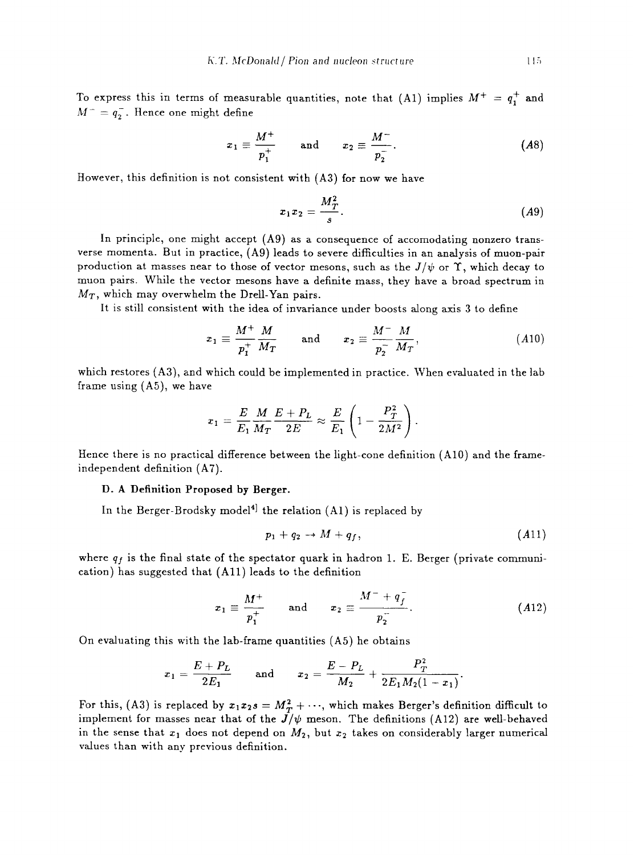To express this in terms of measurable quantities, note that (A1) implies  $M^+ = q_1^+$  and  $M^- = q_2^-$ . Hence one might define

$$
x_1 \equiv \frac{M^+}{p_1^+} \quad \text{and} \quad x_2 \equiv \frac{M^-}{p_2^-}.
$$
 (A8)

However, this definition is not consistent with (A3) for now we have

$$
x_1x_2=\frac{M_T^2}{s}.\tag{A9}
$$

In principle, one might accept  $(A9)$  as a consequence of accomodating nonzero transverse momenta. But in practice, (Ag) leads to severe difficulties in an analysis of muon-pair production at masses near to those of vector mesons, such as the  $J/\psi$  or  $\Upsilon$ , which decay to muon pairs. While the vector mesons have a definite mass, they have a broad spectrum in  $M_T$ , which may overwhelm the Drell-Yan pairs.

It is still consistent with the idea of invariance under boosts along axis 3 to define

$$
x_1 \equiv \frac{M^+}{p_1^+} \frac{M}{M_T} \quad \text{and} \quad x_2 \equiv \frac{M^-}{p_2^-} \frac{M}{M_T}, \qquad (A10)
$$

which restores (A3), and which could be implemented in practice. When evaluated in the lab frame using (A5), we have

$$
x_1 = \frac{E}{E_1}\frac{M}{M_T}\frac{E+P_L}{2E} \approx \frac{E}{E_1}\left(1-\frac{P_T^2}{2M^2}\right).
$$

Hence there is no practical difference between the light-cone definition (A10) and the frameindependent definition (A7).

## **D. A Definition Proposed by Berger.**

In the Berger-Brodsky model<sup>4</sup> the relation  $(A1)$  is replaced by

$$
p_1 + q_2 \rightarrow M + q_f, \qquad (A11)
$$

where  $q_f$  is the final state of the spectator quark in hadron 1. E. Berger (private communication) has suggested that (All) leads to the definition

$$
x_1 \equiv \frac{M^+}{p_1^+}
$$
 and  $x_2 \equiv \frac{M^- + q_f^-}{p_2^-}$ . (A12)

On evaluating this with the lab-frame quantities (A5) he obtains

$$
x_1 = \frac{E + P_L}{2E_1}
$$
 and  $x_2 = \frac{E - P_L}{M_2} + \frac{P_T^2}{2E_1M_2(1 - x_1)}$ .

For this, (A3) is replaced by  $x_1x_2s = M_T^2 + \cdots$ , which makes Berger's definition difficult to implement for masses near that of the  $J/\psi$  meson. The definitions (A12) are well-behaved in the sense that  $x_1$  does not depend on  $M_2$ , but  $x_2$  takes on considerably larger numerical values than with any previous definition.